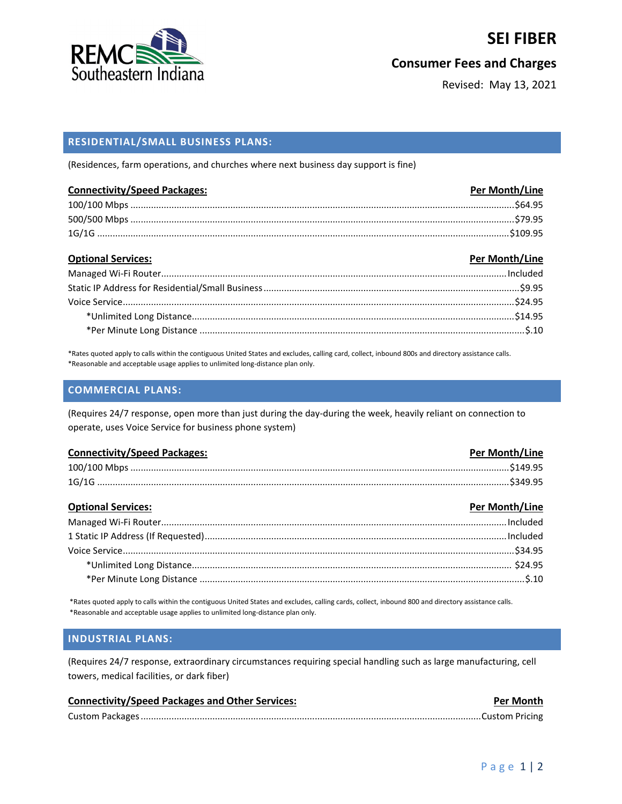

## **SEI FIBER**

### **Consumer Fees and Charges**

Revised: May 13, 2021

### **RESIDENTIAL/SMALL BUSINESS PLANS:**

(Residences, farm operations, and churches where next business day support is fine)

| <b>Connectivity/Speed Packages:</b> | Per Month/Line |
|-------------------------------------|----------------|
|                                     |                |
|                                     |                |
|                                     |                |

| <b>Optional Services:</b> | Per Month/Line |
|---------------------------|----------------|
|                           |                |
|                           |                |
|                           |                |
|                           |                |
|                           |                |

\*Rates quoted apply to calls within the contiguous United States and excludes, calling card, collect, inbound 800s and directory assistance calls. \*Reasonable and acceptable usage applies to unlimited long-distance plan only.

#### **COMMERCIAL PLANS:**

(Requires 24/7 response, open more than just during the day-during the week, heavily reliant on connection to operate, uses Voice Service for business phone system)

| <b>Connectivity/Speed Packages:</b> | Per Month/Line |
|-------------------------------------|----------------|
|                                     |                |
|                                     |                |

| <b>Optional Services:</b> | Per Month/Line |
|---------------------------|----------------|
|                           |                |
|                           |                |
|                           |                |
|                           |                |
|                           |                |

\*Rates quoted apply to calls within the contiguous United States and excludes, calling cards, collect, inbound 800 and directory assistance calls. \*Reasonable and acceptable usage applies to unlimited long-distance plan only.

#### **INDUSTRIAL PLANS:**

(Requires 24/7 response, extraordinary circumstances requiring special handling such as large manufacturing, cell towers, medical facilities, or dark fiber)

| <b>Connectivity/Speed Packages and Other Services:</b> | <b>Per Month</b> |
|--------------------------------------------------------|------------------|
|                                                        |                  |